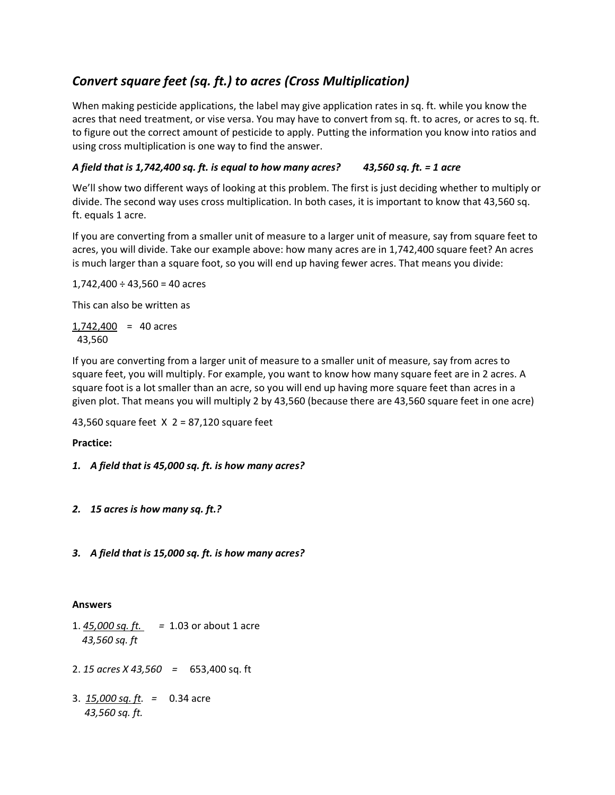# *Convert square feet (sq. ft.) to acres (Cross Multiplication)*

When making pesticide applications, the label may give application rates in sq. ft. while you know the acres that need treatment, or vise versa. You may have to convert from sq. ft. to acres, or acres to sq. ft. to figure out the correct amount of pesticide to apply. Putting the information you know into ratios and using cross multiplication is one way to find the answer.

# *A field that is 1,742,400 sq. ft. is equal to how many acres? 43,560 sq. ft. = 1 acre*

We'll show two different ways of looking at this problem. The first is just deciding whether to multiply or divide. The second way uses cross multiplication. In both cases, it is important to know that 43,560 sq. ft. equals 1 acre.

If you are converting from a smaller unit of measure to a larger unit of measure, say from square feet to acres, you will divide. Take our example above: how many acres are in 1,742,400 square feet? An acres is much larger than a square foot, so you will end up having fewer acres. That means you divide:

 $1,742,400 \div 43,560 = 40$  acres

This can also be written as

 $1,742,400 = 40$  acres 43,560

If you are converting from a larger unit of measure to a smaller unit of measure, say from acres to square feet, you will multiply. For example, you want to know how many square feet are in 2 acres. A square foot is a lot smaller than an acre, so you will end up having more square feet than acres in a given plot. That means you will multiply 2 by 43,560 (because there are 43,560 square feet in one acre)

43,560 square feet X 2 = 87,120 square feet

**Practice:**

## *1. A field that is 45,000 sq. ft. is how many acres?*

- *2. 15 acres is how many sq. ft.?*
- *3. A field that is 15,000 sq. ft. is how many acres?*

## **Answers**

- 1. *45,000 sq. ft. =* 1.03 or about 1 acre  *43,560 sq. ft*
- 2. *15 acres X 43,560 =* 653,400 sq. ft
- 3. *15,000 sq. ft. =* 0.34 acre *43,560 sq. ft.*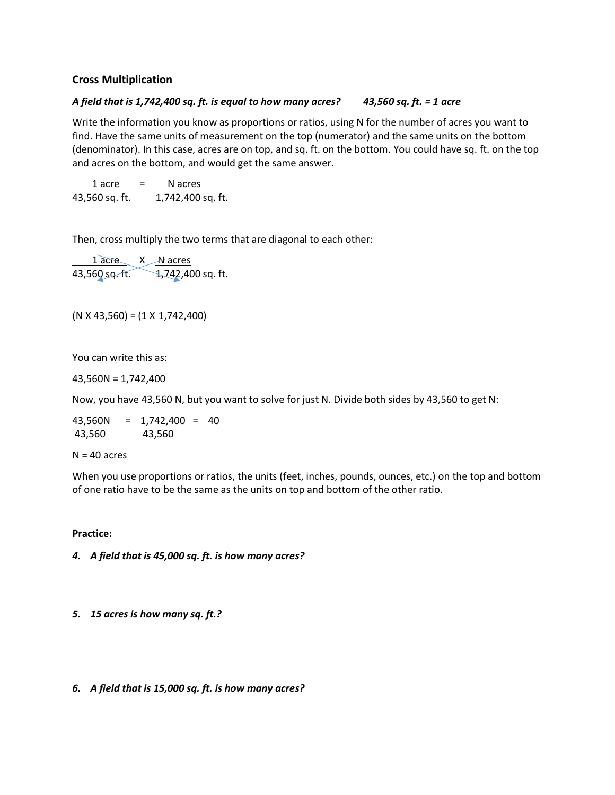## **Cross Multiplication**

## *A field that is 1,742,400 sq. ft. is equal to how many acres? 43,560 sq. ft. = 1 acre*

Write the information you know as proportions or ratios, using N for the number of acres you want to find. Have the same units of measurement on the top (numerator) and the same units on the bottom (denominator). In this case, acres are on top, and sq. ft. on the bottom. You could have sq. ft. on the top and acres on the bottom, and would get the same answer.

 $1$  acre  $=$  N acres 43,560 sq. ft. 1,742,400 sq. ft.

Then, cross multiply the two terms that are diagonal to each other:

1 acre X N acres 43,560 sq. ft. 1,742,400 sq. ft.

 $(N X 43,560) = (1 X 1,742,400)$ 

You can write this as:

43,560N = 1,742,400

Now, you have 43,560 N, but you want to solve for just N. Divide both sides by 43,560 to get N:

43,560N = 1,742,400 = 40 43,560 43,560

 $N = 40$  acres

When you use proportions or ratios, the units (feet, inches, pounds, ounces, etc.) on the top and bottom of one ratio have to be the same as the units on top and bottom of the other ratio.

**Practice:**

*4. A field that is 45,000 sq. ft. is how many acres?*

*5. 15 acres is how many sq. ft.?*

#### *6. A field that is 15,000 sq. ft. is how many acres?*